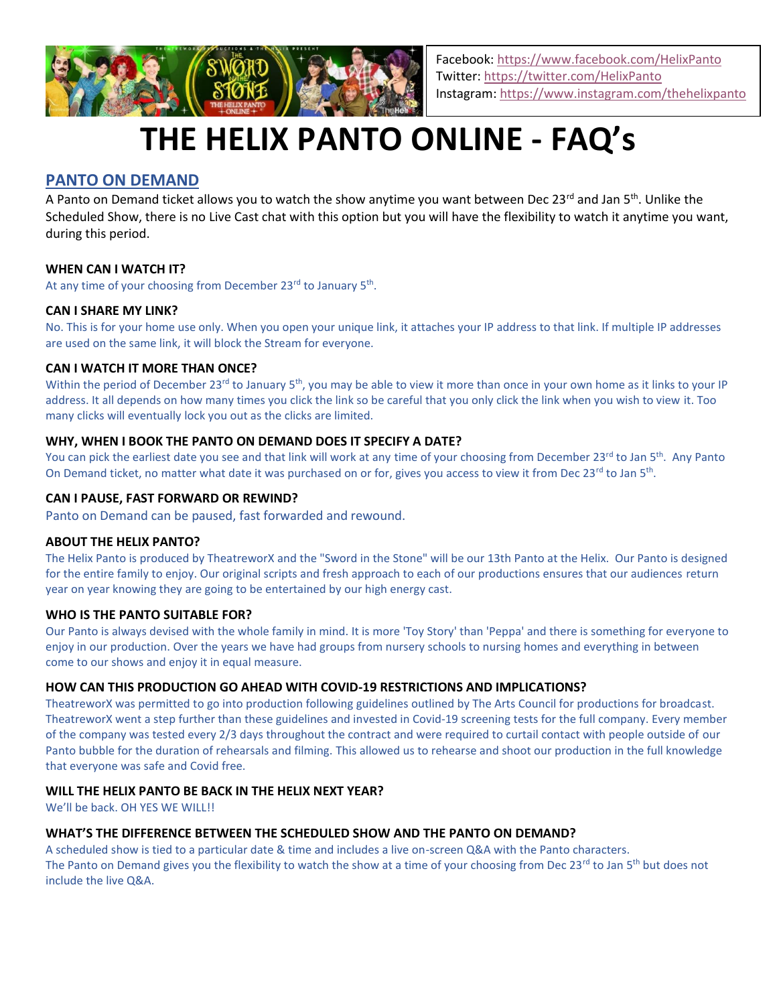

Facebook:<https://www.facebook.com/HelixPanto> Twitter[: https://twitter.com/HelixPanto](https://twitter.com/HelixPanto) Instagram:<https://www.instagram.com/thehelixpanto>

# **THE HELIX PANTO ONLINE - FAQ's**

# **PANTO ON DEMAND**

A Panto on Demand ticket allows you to watch the show anytime you want between Dec 23<sup>rd</sup> and Jan 5<sup>th</sup>. Unlike the Scheduled Show, there is no Live Cast chat with this option but you will have the flexibility to watch it anytime you want, during this period.

#### **WHEN CAN I WATCH IT?**

At any time of your choosing from December 23<sup>rd</sup> to January 5<sup>th</sup>.

#### **CAN I SHARE MY LINK?**

No. This is for your home use only. When you open your unique link, it attaches your IP address to that link. If multiple IP addresses are used on the same link, it will block the Stream for everyone.

#### **CAN I WATCH IT MORE THAN ONCE?**

Within the period of December 23<sup>rd</sup> to January 5<sup>th</sup>, you may be able to view it more than once in your own home as it links to your IP address. It all depends on how many times you click the link so be careful that you only click the link when you wish to view it. Too many clicks will eventually lock you out as the clicks are limited.

#### **WHY, WHEN I BOOK THE PANTO ON DEMAND DOES IT SPECIFY A DATE?**

You can pick the earliest date you see and that link will work at any time of your choosing from December 23<sup>rd</sup> to Jan 5<sup>th</sup>. Any Panto On Demand ticket, no matter what date it was purchased on or for, gives you access to view it from Dec 23<sup>rd</sup> to Jan 5<sup>th</sup>.

#### **CAN I PAUSE, FAST FORWARD OR REWIND?**

Panto on Demand can be paused, fast forwarded and rewound.

#### **ABOUT THE HELIX PANTO?**

The Helix Panto is produced by TheatreworX and the "Sword in the Stone" will be our 13th Panto at the Helix. Our Panto is designed for the entire family to enjoy. Our original scripts and fresh approach to each of our productions ensures that our audiences return year on year knowing they are going to be entertained by our high energy cast.

#### **WHO IS THE PANTO SUITABLE FOR?**

Our Panto is always devised with the whole family in mind. It is more 'Toy Story' than 'Peppa' and there is something for everyone to enjoy in our production. Over the years we have had groups from nursery schools to nursing homes and everything in between come to our shows and enjoy it in equal measure.

# **HOW CAN THIS PRODUCTION GO AHEAD WITH COVID-19 RESTRICTIONS AND IMPLICATIONS?**

TheatreworX was permitted to go into production following guidelines outlined by The Arts Council for productions for broadcast. TheatreworX went a step further than these guidelines and invested in Covid-19 screening tests for the full company. Every member of the company was tested every 2/3 days throughout the contract and were required to curtail contact with people outside of our Panto bubble for the duration of rehearsals and filming. This allowed us to rehearse and shoot our production in the full knowledge that everyone was safe and Covid free.

# **WILL THE HELIX PANTO BE BACK IN THE HELIX NEXT YEAR?**

We'll be back. OH YES WE WILL!!

# **WHAT'S THE DIFFERENCE BETWEEN THE SCHEDULED SHOW AND THE PANTO ON DEMAND?**

A scheduled show is tied to a particular date & time and includes a live on-screen Q&A with the Panto characters. The Panto on Demand gives you the flexibility to watch the show at a time of your choosing from Dec 23<sup>rd</sup> to Jan 5<sup>th</sup> but does not include the live Q&A.